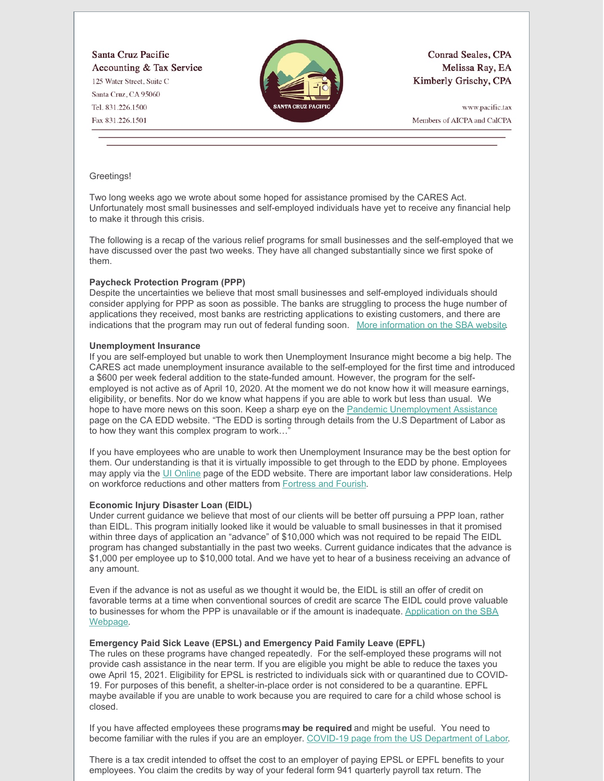Santa Cruz Pacific Accounting & Tax Service 125 Water Street, Suite C Santa Cruz, CA 95060 Tel. 831.226.1500 Fax 831.226.1501



**Conrad Seales, CPA** Melissa Ray, EA Kimberly Grischy, CPA

www.pacific.tax Members of AICPA and CalCPA

#### Greetings!

Two long weeks ago we wrote about some hoped for assistance promised by the CARES Act. Unfortunately most small businesses and self-employed individuals have yet to receive any financial help to make it through this crisis.

The following is a recap of the various relief programs for small businesses and the self-employed that we have discussed over the past two weeks. They have all changed substantially since we first spoke of them.

# **Paycheck Protection Program (PPP)**

Despite the uncertainties we believe that most small businesses and self-employed individuals should consider applying for PPP as soon as possible. The banks are struggling to process the huge number of applications they received, most banks are restricting applications to existing customers, and there are indications that the program may run out of federal funding soon. More [information](https://www.sba.gov/funding-programs/loans/coronavirus-relief-options/paycheck-protection-program-ppp#section-header-5) on the SBA website.

#### **Unemployment Insurance**

If you are self-employed but unable to work then Unemployment Insurance might become a big help. The CARES act made unemployment insurance available to the self-employed for the first time and introduced a \$600 per week federal addition to the state-funded amount. However, the program for the selfemployed is not active as of April 10, 2020. At the moment we do not know how it will measure earnings, eligibility, or benefits. Nor do we know what happens if you are able to work but less than usual. We hope to have more news on this soon. Keep a sharp eye on the Pandemic [Unemployment](https://edd.ca.gov/about_edd/coronavirus-2019/pandemic-unemployment-assistance.htm) Assistance page on the CA EDD website. "The EDD is sorting through details from the U.S Department of Labor as to how they want this complex program to work...

If you have employees who are unable to work then Unemployment Insurance may be the best option for them. Our understanding is that it is virtually impossible to get through to the EDD by phone. Employees may apply via the UI [Online](https://www.edd.ca.gov/Unemployment/UI_Online.htm) page of the EDD website. There are important labor law considerations. Help on workforce reductions and other matters from [Fortress](https://www.fortressandflourish.com/) and Fourish.

# **Economic Injury Disaster Loan (EIDL)**

Under current guidance we believe that most of our clients will be better off pursuing a PPP loan, rather than EIDL. This program initially looked like it would be valuable to small businesses in that it promised within three days of application an "advance" of \$10,000 which was not required to be repaid The EIDL program has changed substantially in the past two weeks. Current guidance indicates that the advance is \$1,000 per employee up to \$10,000 total. And we have yet to hear of a business receiving an advance of any amount.

Even if the advance is not as useful as we thought it would be, the EIDL is still an offer of credit on favorable terms at a time when conventional sources of credit are scarce The EIDL could prove valuable to businesses for whom the PPP is unavailable or if the amount is [inadequate.](https://www.sba.gov/funding-programs/loans/coronavirus-relief-options/economic-injury-disaster-loan-emergency-advance) Application on the SBA Webpage.

# **Emergency Paid Sick Leave (EPSL) and Emergency Paid Family Leave (EPFL)**

The rules on these programs have changed repeatedly. For the self-employed these programs will not provide cash assistance in the near term. If you are eligible you might be able to reduce the taxes you owe April 15, 2021. Eligibility for EPSL is restricted to individuals sick with or quarantined due to COVID-19. For purposes of this benefit, a shelter-in-place order is not considered to be a quarantine. EPFL maybe available if you are unable to work because you are required to care for a child whose school is closed.

If you have affected employees these programs**may be required** and might be useful. You need to become familiar with the rules if you are an employer. COVID-19 page from the US [Department](https://www.dol.gov/agencies/whd/pandemic/ffcra-employer-paid-leave) of Labor.

There is a tax credit intended to offset the cost to an employer of paying EPSL or EPFL benefits to your employees. You claim the credits by way of your federal form 941 quarterly payroll tax return. The